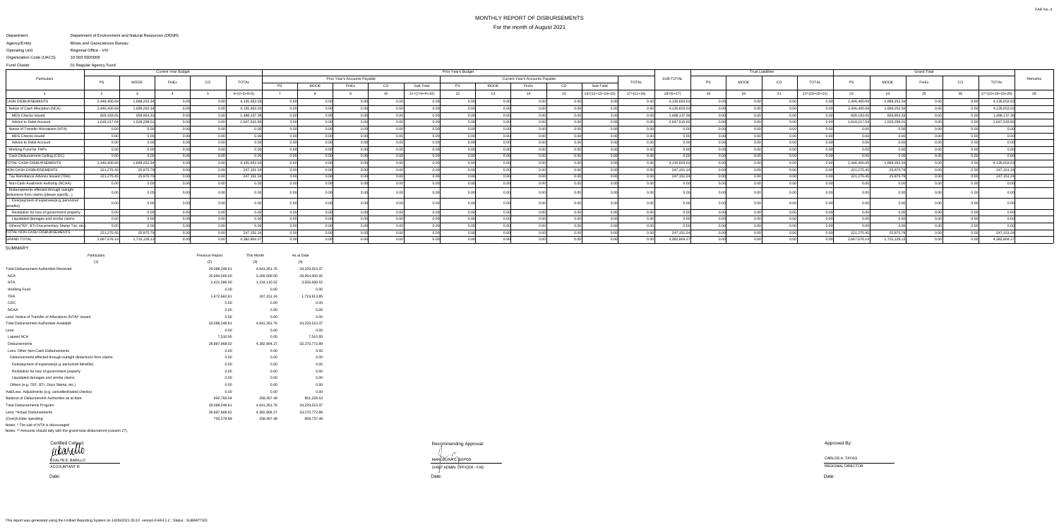## MONTHLY REPORT OF DISBURSEMENTSFor the month of August 2021

## Department Agency/EntityOperating Unit Department of Environment and Natural Resources (DENR) Mines and Geosciences BureauRegional Office - VIII10 003 0300008

Organization Code (UACS) 01 Regular Agency FundFund Cluster

|                                                                                   |              |              | <b>Current Year Budget</b> |      |               | Prior Year's Budget |                               |       |      |                 |           |             |                                        |      |                    |              |              | <b>Trust Liabilities</b> |      |      |                 |             |              |       |      |                    |         |
|-----------------------------------------------------------------------------------|--------------|--------------|----------------------------|------|---------------|---------------------|-------------------------------|-------|------|-----------------|-----------|-------------|----------------------------------------|------|--------------------|--------------|--------------|--------------------------|------|------|-----------------|-------------|--------------|-------|------|--------------------|---------|
| Particulars                                                                       |              |              | FinEx                      | CO   | <b>TOTAL</b>  |                     | Prior Year's Accounts Payable |       |      |                 |           |             | <b>Current Year's Accounts Payable</b> |      |                    | <b>TOTAL</b> | SUB-TOTAL    | <b>PS</b>                | MOOE | CO   | <b>TOTAL</b>    | <b>PS</b>   |              | FinEx | CO   | <b>TOTAL</b>       | Remarks |
|                                                                                   | PS.          | <b>MOOE</b>  |                            |      |               | <b>PS</b>           | MOOE                          | FinEx | CO   | Sub-Total       | <b>PS</b> | <b>MOOE</b> | FinEx                                  | CO   | Sub-Total          |              |              |                          |      |      |                 |             | MOOE         |       |      |                    |         |
|                                                                                   |              |              |                            |      | $6=(2+3+4+5)$ |                     |                               |       |      | $11=(7+8+9+10)$ | 12        |             |                                        |      | $16=(12+13+14+19)$ | $17=(11+16)$ | $18=(6+17)$  | 19                       |      | 21   | $22=(19+20+21)$ | 23          |              |       | 26   | $27=(23+24+25+26)$ |         |
| <b>CASH DISBURSEMENTS</b>                                                         | 2,446,400.69 | 1,689,252.34 | 0.00 <sup>1</sup>          | n nn | 4,135,653.03  | 0.00                |                               |       |      |                 |           | 0.00        |                                        |      |                    |              | 4,135,653.03 |                          |      |      |                 | 2,446,400.6 | 1,689,252.34 | 0.00  |      | 4,135,653.0        |         |
| Notice of Cash Allocation (NCA)                                                   | 2,446,400.6  | 1,689,252.34 |                            |      | 4,135,653.03  | 0.00                |                               |       |      |                 |           |             |                                        |      |                    |              | 4,135,653.03 |                          |      |      | 0.00            | 2,446,400.  | 1,689,252.34 | 0.00  |      | 4,135,653.0        |         |
| <b>MDS Checks Issued</b>                                                          | 828,183.0    | 659,954.3    |                            |      | 1,488,137.38  | 0.00                |                               |       |      | 0.00            |           | n n         |                                        |      |                    |              | 1,488,137.38 |                          |      |      | 0.00            | 828,183.    | 659,954.33   | 0.00  |      | 1,488,137.3        |         |
| Advice to Debit Account                                                           | 1,618,217.64 | 1,029,298.01 |                            | . വ  | 2,647,515.65  | 0.00                |                               |       |      | 0.0(            |           |             |                                        |      |                    |              | 2,647,515.65 |                          |      |      |                 | 1,618,217.6 | 1,029,298.01 | 0.00  |      | 2,647,515.65       |         |
| Notice of Transfer Allocations (NTA)                                              |              | 0.001        |                            |      |               | 0.00                |                               |       |      | $\cap$ $\cap$   |           | 0.00        | 0.00                                   |      |                    |              |              |                          |      | 0.00 |                 |             | n nnl        | 0.00  |      |                    |         |
| <b>MDS Checks Issued</b>                                                          |              | 0.00         | ስ ሰሰ                       | n nn | 0.00 L        | 0.00                |                               | n nn  | 0.00 | 0.00            | 0.00      | 0.00        |                                        | 0.00 |                    |              | n nn         |                          |      | 0.00 | 0.00            |             | 0.00         | 0.00  | 0.00 | 0.00               |         |
| Advice to Debit Account                                                           |              | 0.00         |                            | n nn | n ool         | 0.00                |                               | 0.00  |      | 0.00            | 0.00      | 0.0         |                                        | n nn |                    |              |              |                          |      | 0.00 |                 |             | $0.00\,$     |       | 0.00 | 0.00               |         |
| Working Fund for FAPs                                                             |              |              |                            |      | 0.00l         | 0.00                |                               | 0.00  |      | 0.00            |           | 0.0(        |                                        |      |                    |              | 0.00         |                          |      |      |                 |             | 0.00         |       |      |                    |         |
| Cash Disbursement Ceiling (CDC)                                                   |              |              |                            |      |               | 0.00                |                               |       |      |                 |           |             |                                        |      |                    |              |              |                          |      |      |                 |             | 0.00         |       |      |                    |         |
| <b>TOTAL CASH DISBURSEMENTS</b>                                                   | 2,446,400.69 | 1,689,252.34 |                            |      | 4,135,653.03  | 0.00                |                               |       |      |                 |           |             |                                        |      |                    |              | 4,135,653.03 |                          |      |      |                 | 2,446,400.  | 1,689,252.34 |       |      | 4,135,653.0        |         |
| NON-CASH DISBURSEMENTS                                                            | 221,275.45   | 25,875.79    |                            |      | 247,151.24    | 0.00                |                               |       |      |                 |           |             |                                        |      |                    |              | 247,151.24   |                          |      |      |                 | 221,275.4   | 25,875.79    |       |      | 247,151.2          |         |
| Tax Remittance Advices Issued (TRA)                                               | 221,275.45   | 25,875.79    |                            |      | 247,151.24    | 0.00 <sub>l</sub>   |                               |       |      | n no            |           |             |                                        |      |                    |              | 247.151.24   |                          |      |      | 0.00            | 221,275.45  | 25,875.79    |       |      | 247,151.2          |         |
| Non-Cash Availment Authority (NCAA)                                               | 0.0(         | 0.00         |                            |      | በ በበ          | 0.00                |                               |       |      | 0.0             |           | 0.0         |                                        |      |                    |              | 0.00         |                          |      |      |                 |             | 0.00         |       |      | 0.0                |         |
| Disbursements effected through outright<br>deductions from claims (please specify |              |              |                            |      |               | ገ በበ                |                               |       |      |                 |           | n ni        |                                        |      |                    |              |              |                          |      |      |                 |             | ገ በበ         |       |      |                    |         |
| Overpayment of expenses(e.g. personnel<br>benefits                                |              |              |                            |      |               |                     |                               |       |      |                 |           |             |                                        |      |                    |              |              |                          |      |      |                 |             |              |       |      |                    |         |
| Restitution for loss of government property                                       |              | 0.00         |                            |      |               | 0.00                |                               |       |      | 0.OO            |           | -0.00       | 0.00                                   |      |                    |              | 0.00         |                          |      |      |                 |             | 0.00         |       |      | 0.00               |         |
| Liquidated damages and similar claims                                             |              | n ool        |                            |      |               | 0.00                |                               |       |      | 0.00            |           |             |                                        |      |                    |              |              |                          |      | n nr |                 |             | n nnl        |       |      |                    |         |
| Others(TEF, BTr-Documentary Stamp Tax, etc                                        | 0.0          | 0.00         |                            | n nn | n nnl         | 0.00                |                               |       |      | n nr            |           |             |                                        |      |                    |              | 0.00         |                          |      | 0.00 |                 |             | n nnl        |       | 0.00 | 0.00               |         |
| TOTAL NON-CASH DISBURSEMENTS                                                      | 221,275.45   | 25,875.79    |                            | 0.00 | 247,151.24    | 0.00                |                               |       |      | 0.00            |           | 0.00        |                                        | 0.00 |                    | n nr         | 247,151.24   |                          |      | n nr | 0.00            | 221,275.4   | 25,875.79    | 0.00  | 0.00 | 247,151.2          |         |
| <b>GRAND TOTAL</b>                                                                | 2,667,676.14 | 1,715,128.13 |                            | n nn | 4,382,804.27  | 0.00 <sub>l</sub>   |                               |       |      |                 |           | n ni        |                                        |      |                    |              | 4,382,804.27 |                          |      |      |                 | 2,667,676.1 | 1,715,128.13 | 0.00  |      | 4,382,804.2        |         |
|                                                                                   |              |              |                            |      |               |                     |                               |       |      |                 |           |             |                                        |      |                    |              |              |                          |      |      |                 |             |              |       |      |                    |         |

 Date: Date: MARCELINA C. ESPOS CARLOS A. TAYAG CARLOS A. TAYAG CARLOS A. TAYAG CARLOS A. TAYAG CARLOS A. TAYAG CARLOS A. TAYAG CARLOS A. TAYAG CHUFF ADMIN. OFFICER - FAD

SUMMARY

| Particulars                                                    | Previous Report | This Month   | As at Date    |
|----------------------------------------------------------------|-----------------|--------------|---------------|
| (1)                                                            | (2)             | (3)          | (4)           |
| <b>Total Disbursement Authorities Received</b>                 | 29,588,248.61   | 4,641,261.76 | 34,229,510.37 |
| <b>NCA</b>                                                     | 25,694,000.00   | 3,260,000.00 | 28,954,000.00 |
| <b>NTA</b>                                                     | 2,421,586.00    | 1,134,110.52 | 3,555,696.52  |
| <b>Working Fund</b>                                            | 0.00            | 0.00         | 0.00          |
| <b>TRA</b>                                                     | 1,472,662.61    | 247, 151.24  | 1,719,813.85  |
| CDC                                                            | 0.00            | 0.00         | 0.00          |
| <b>NCAA</b>                                                    | 0.00            | 0.00         | 0.00          |
| Less: Notice of Transfer of Allocations (NTA)* issued          | 0.00            | 0.00         | 0.00          |
| <b>Total Disbursement Authorities Available</b>                | 29,588,248.61   | 4,641,261.76 | 34,229,510.37 |
| Less:                                                          | 0.00            | 0.00         | 0.00          |
| Lapsed NCA                                                     | 7,510.95        | 0.00         | 7,510.95      |
| <b>Disbursements</b>                                           | 28,887,968.62   | 4,382,804.27 | 33,270,772.89 |
| Less: Other Non-Cash Disbursements                             | 0.00            | 0.00         | 0.00          |
| Disbursements effected through outright deductions from claims | 0.00            | 0.00         | 0.00          |
| Overpayment of expenses(e.g. personnel benefits)               | 0.00            | 0.00         | 0.00          |
| Restitution for loss of government property                    | 0.00            | 0.00         | 0.00          |
| Liquidated damages and similar claims                          | 0.00            | 0.00         | 0.00          |
| Others (e.g. TEF, BTr, Docs Stamp, etc.)                       | 0.00            | 0.00         | 0.00          |
| Add/Less: Adjustments (e.g. cancelled/staled checks)           | 0.00            | 0.00         | 0.00          |
| Balance of Disbursement Authorities as at date                 | 692,769.04      | 258,457.49   | 951,226.53    |
| <b>Total Disbursements Program</b>                             | 29,588,248.61   | 4,641,261.76 | 34,229,510.37 |
| Less: *Actual Disbursements                                    | 28,887,968.62   | 4,382,804.27 | 33,270,772.89 |
| (Over)/Under spending                                          | 700,279.99      | 258,457.49   | 958,737.48    |
| Notes: * The use of NTA is discouraged                         |                 |              |               |

Notes: \*\* Amounts should tally with the grand total disbursemnt (column 27).



Recommending Approval:

MARCELINAC. ESPOS<br>CHIEF ADMIN. OFFICER - FAD

Approved By:

Date:

ACCOUNTANT III